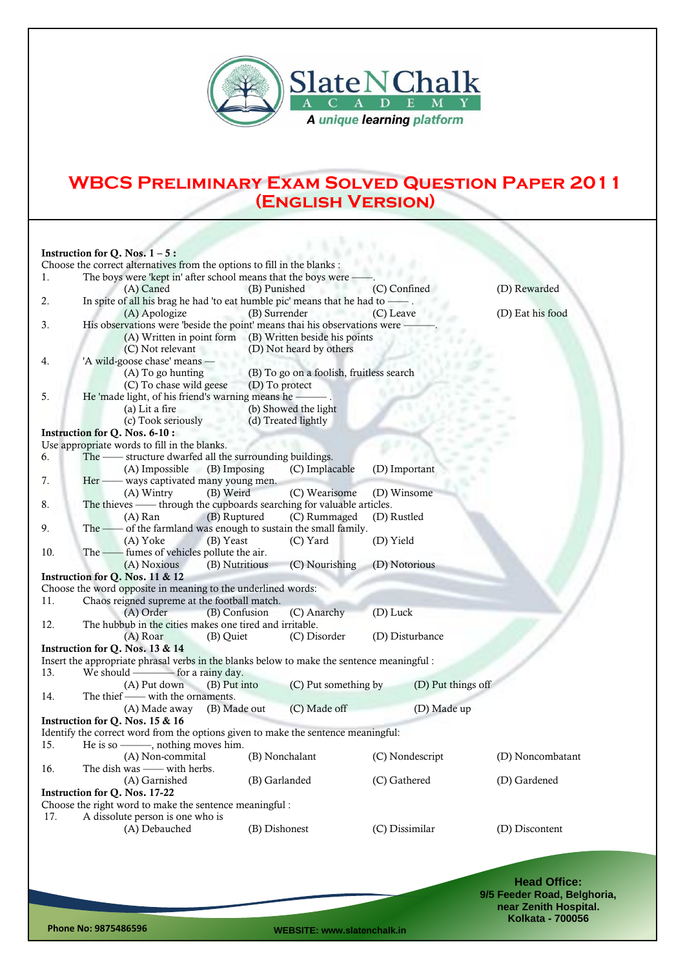

## **WBCS Preliminary Exam Solved Question Paper 2011 (English Version)**

|     | Instruction for Q. Nos. $1 - 5$ :                                                                          |               |                         |                |                    |                  |  |  |
|-----|------------------------------------------------------------------------------------------------------------|---------------|-------------------------|----------------|--------------------|------------------|--|--|
|     | Choose the correct alternatives from the options to fill in the blanks :                                   |               |                         |                |                    |                  |  |  |
| 1.  | The boys were 'kept in' after school means that the boys were -                                            |               |                         |                |                    |                  |  |  |
|     | (A) Caned                                                                                                  | (B) Punished  |                         | (C) Confined   |                    | (D) Rewarded     |  |  |
| 2.  | In spite of all his brag he had 'to eat humble pic' means that he had to — .                               |               |                         |                |                    |                  |  |  |
|     | (A) Apologize                                                                                              | (B) Surrender |                         | (C) Leave      |                    | (D) Eat his food |  |  |
| 3.  | His observations were 'beside the point' means thai his observations were                                  |               |                         |                |                    |                  |  |  |
|     | (A) Written in point form (B) Written beside his points                                                    |               |                         |                |                    |                  |  |  |
|     | (C) Not relevant                                                                                           |               | (D) Not heard by others |                |                    |                  |  |  |
|     | 'A wild-goose chase' means -                                                                               |               |                         |                |                    |                  |  |  |
| 4.  |                                                                                                            |               |                         |                |                    |                  |  |  |
|     | (B) To go on a foolish, fruitless search<br>(A) To go hunting<br>(C) To chase wild geese<br>(D) To protect |               |                         |                |                    |                  |  |  |
|     | He 'made light, of his friend's warning means he -----                                                     |               |                         |                |                    |                  |  |  |
| 5.  |                                                                                                            |               |                         |                |                    |                  |  |  |
|     | (a) Lit a fire                                                                                             |               | (b) Showed the light    |                |                    |                  |  |  |
|     | (c) Took seriously                                                                                         |               | (d) Treated lightly     |                |                    |                  |  |  |
|     | Instruction for Q. Nos. 6-10 :                                                                             |               |                         |                |                    |                  |  |  |
|     | Use appropriate words to fill in the blanks.                                                               |               |                         |                |                    |                  |  |  |
| 6.  | The - structure dwarfed all the surrounding buildings.                                                     |               |                         |                |                    |                  |  |  |
|     | (A) Impossible<br>(B) Imposing                                                                             |               | (C) Implacable          | (D) Important  |                    |                  |  |  |
| 7.  | Her - ways captivated many young men.                                                                      |               |                         |                |                    |                  |  |  |
|     | (A) Wintry<br>(B) Weird                                                                                    |               | (C) Wearisome           | (D) Winsome    |                    |                  |  |  |
| 8.  | The thieves - through the cupboards searching for valuable articles.                                       |               |                         |                |                    |                  |  |  |
|     | (B) Ruptured<br>$(A)$ Ran                                                                                  |               | (C) Rummaged            | (D) Rustled    |                    |                  |  |  |
| 9.  | - of the farmland was enough to sustain the small family.<br>The $-$                                       |               |                         |                |                    |                  |  |  |
|     | (A) Yoke<br>(B) Yeast                                                                                      |               | (C) Yard                | (D) Yield      |                    |                  |  |  |
| 10. | The -- fumes of vehicles pollute the air.                                                                  |               |                         |                |                    |                  |  |  |
|     | (B) Nutritious<br>(A) Noxious                                                                              |               | (C) Nourishing          | (D) Notorious  |                    |                  |  |  |
|     | Instruction for Q. Nos. 11 & 12                                                                            |               |                         |                |                    |                  |  |  |
|     | Choose the word opposite in meaning to the underlined words:                                               |               |                         |                |                    |                  |  |  |
| 11. | Chaos reigned supreme at the football match.                                                               |               |                         |                |                    |                  |  |  |
|     | (A) Order                                                                                                  | (B) Confusion | (C) Anarchy             | (D) Luck       |                    |                  |  |  |
| 12. | The hubbub in the cities makes one tired and irritable.                                                    |               |                         |                |                    |                  |  |  |
|     | (A) Roar<br>(B) Quiet                                                                                      |               | (C) Disorder            |                | (D) Disturbance    |                  |  |  |
|     | Instruction for Q. Nos. 13 & 14                                                                            |               |                         |                |                    |                  |  |  |
|     | Insert the appropriate phrasal verbs in the blanks below to make the sentence meaningful :                 |               |                         |                |                    |                  |  |  |
| 13. |                                                                                                            |               |                         |                |                    |                  |  |  |
|     | (B) Put into<br>(A) Put down                                                                               |               | (C) Put something by    |                | (D) Put things off |                  |  |  |
| 14. | The thief — with the ornaments.                                                                            |               |                         |                |                    |                  |  |  |
|     | (B) Made out                                                                                               |               | (C) Made off            |                | (D) Made up        |                  |  |  |
|     | (A) Made away                                                                                              |               |                         |                |                    |                  |  |  |
|     | Instruction for Q. Nos. 15 & 16                                                                            |               |                         |                |                    |                  |  |  |
|     | Identify the correct word from the options given to make the sentence meaningful:                          |               |                         |                |                    |                  |  |  |
| 15. | He is so ——, nothing moves him.                                                                            |               |                         |                |                    |                  |  |  |
|     | (A) Non-commital                                                                                           |               | (B) Nonchalant          |                | (C) Nondescript    | (D) Noncombatant |  |  |
| 16. | The dish was - with herbs.                                                                                 |               |                         |                |                    |                  |  |  |
|     | (A) Garnished                                                                                              | (B) Garlanded |                         | (C) Gathered   |                    | (D) Gardened     |  |  |
|     | Instruction for Q. Nos. 17-22                                                                              |               |                         |                |                    |                  |  |  |
|     | Choose the right word to make the sentence meaningful:                                                     |               |                         |                |                    |                  |  |  |
| 17. | A dissolute person is one who is                                                                           |               |                         |                |                    |                  |  |  |
|     | (A) Debauched                                                                                              | (B) Dishonest |                         | (C) Dissimilar |                    | (D) Discontent   |  |  |
|     |                                                                                                            |               |                         |                |                    |                  |  |  |
|     |                                                                                                            |               |                         |                |                    |                  |  |  |
|     |                                                                                                            |               |                         |                |                    |                  |  |  |

**Head Office: 9/5 Feeder Road, Belghoria, near Zenith Hospital. Kolkata - 700056**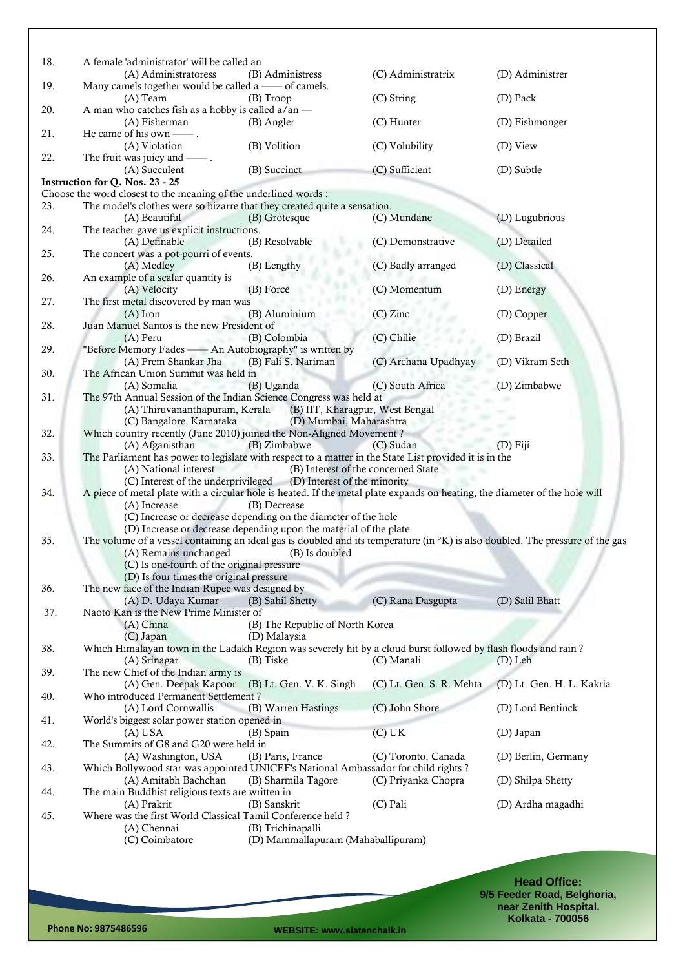| 18. | A female 'administrator' will be called an                                                                                     |                                                                   |                          |                           |
|-----|--------------------------------------------------------------------------------------------------------------------------------|-------------------------------------------------------------------|--------------------------|---------------------------|
|     | (A) Administratoress                                                                                                           | (B) Administress                                                  | (C) Administratrix       | (D) Administrer           |
| 19. | Many camels together would be called a — of camels.<br>(A) Team                                                                | (B) Troop                                                         | (C) String               | (D) Pack                  |
| 20. | A man who catches fish as a hobby is called a/an -                                                                             |                                                                   |                          |                           |
|     | (A) Fisherman<br>He came of his own — .                                                                                        | (B) Angler                                                        | (C) Hunter               | (D) Fishmonger            |
| 21. | (A) Violation                                                                                                                  | (B) Volition                                                      | (C) Volubility           | (D) View                  |
| 22. | The fruit was juicy and $\_\_\_\$ .                                                                                            |                                                                   |                          |                           |
|     | (A) Succulent<br>Instruction for Q. Nos. 23 - 25                                                                               | (B) Succinct                                                      | (C) Sufficient           | (D) Subtle                |
|     | Choose the word closest to the meaning of the underlined words:                                                                |                                                                   |                          |                           |
| 23. | The model's clothes were so bizarre that they created quite a sensation.                                                       |                                                                   |                          |                           |
|     | (A) Beautiful                                                                                                                  | (B) Grotesque                                                     | (C) Mundane              | (D) Lugubrious            |
| 24. | The teacher gave us explicit instructions.                                                                                     |                                                                   |                          |                           |
|     | (A) Definable                                                                                                                  | (B) Resolvable                                                    | (C) Demonstrative        | (D) Detailed              |
| 25. | The concert was a pot-pourri of events.                                                                                        | (B) Lengthy                                                       | (C) Badly arranged       | (D) Classical             |
| 26. | (A) Medley<br>An example of a scalar quantity is                                                                               |                                                                   |                          |                           |
|     | (A) Velocity                                                                                                                   | (B) Force                                                         | (C) Momentum             | (D) Energy                |
| 27. | The first metal discovered by man was                                                                                          |                                                                   |                          |                           |
|     | $(A)$ Iron                                                                                                                     | (B) Aluminium                                                     | $(C)$ Zinc               | (D) Copper                |
| 28. | Juan Manuel Santos is the new President of                                                                                     |                                                                   |                          |                           |
|     | (A) Peru                                                                                                                       | (B) Colombia                                                      | (C) Chilie               | (D) Brazil                |
| 29. | "Before Memory Fades - An Autobiography" is written by                                                                         |                                                                   |                          |                           |
| 30. | (A) Prem Shankar Jha (B) Fali S. Nariman<br>The African Union Summit was held in                                               |                                                                   | (C) Archana Upadhyay     | (D) Vikram Seth           |
|     | (A) Somalia                                                                                                                    | (B) Uganda                                                        | (C) South Africa         | (D) Zimbabwe              |
| 31. | The 97th Annual Session of the Indian Science Congress was held at                                                             |                                                                   |                          |                           |
|     | (A) Thiruvananthapuram, Kerala                                                                                                 | (B) IIT, Kharagpur, West Bengal                                   |                          |                           |
|     | (C) Bangalore, Karnataka                                                                                                       | (D) Mumbai, Maharashtra<br>w.                                     |                          |                           |
| 32. | Which country recently (June 2010) joined the Non-Aligned Movement?                                                            |                                                                   |                          |                           |
|     | (A) Afganisthan                                                                                                                | (B) Zimbabwe                                                      | (C) Sudan                | $(D)$ Fiji                |
| 33. | The Parliament has power to legislate with respect to a matter in the State List provided it is in the                         |                                                                   |                          |                           |
|     | (A) National interest                                                                                                          | (B) Interest of the concerned State                               |                          |                           |
| 34. | A piece of metal plate with a circular hole is heated. If the metal plate expands on heating, the diameter of the hole will    | (C) Interest of the underprivileged (D) Interest of the minority  |                          |                           |
|     | (A) Increase                                                                                                                   | (B) Decrease                                                      |                          |                           |
|     |                                                                                                                                | (C) Increase or decrease depending on the diameter of the hole    |                          |                           |
|     |                                                                                                                                | (D) Increase or decrease depending upon the material of the plate |                          |                           |
| 35. | The volume of a vessel containing an ideal gas is doubled and its temperature (in °K) is also doubled. The pressure of the gas |                                                                   |                          |                           |
|     | (A) Remains unchanged                                                                                                          | (B) Is doubled                                                    |                          |                           |
|     | (C) Is one-fourth of the original pressure                                                                                     |                                                                   |                          |                           |
|     | (D) Is four times the original pressure                                                                                        |                                                                   |                          |                           |
| 36. | The new face of the Indian Rupee was designed by<br>(A) D. Udaya Kumar                                                         | (B) Sahil Shetty                                                  | (C) Rana Dasgupta        | (D) Salil Bhatt           |
| 37. | Naoto Kan is the New Prime Minister of                                                                                         |                                                                   |                          |                           |
|     | $(A)$ China                                                                                                                    | (B) The Republic of North Korea                                   |                          |                           |
|     | (C) Japan                                                                                                                      | (D) Malaysia                                                      |                          |                           |
| 38. | Which Himalayan town in the Ladakh Region was severely hit by a cloud burst followed by flash floods and rain?                 |                                                                   |                          |                           |
|     | (A) Srinagar                                                                                                                   | (B) Tiske                                                         | (C) Manali               | $(D)$ Leh                 |
| 39. | The new Chief of the Indian army is                                                                                            |                                                                   |                          |                           |
|     | (A) Gen. Deepak Kapoor                                                                                                         | (B) Lt. Gen. V. K. Singh                                          | (C) Lt. Gen. S. R. Mehta | (D) Lt. Gen. H. L. Kakria |
| 40. | Who introduced Permanent Settlement?<br>(A) Lord Cornwallis                                                                    | (B) Warren Hastings                                               | (C) John Shore           | (D) Lord Bentinck         |
| 41. | World's biggest solar power station opened in                                                                                  |                                                                   |                          |                           |
|     | $(A)$ USA                                                                                                                      | (B) Spain                                                         | (C) UK                   | (D) Japan                 |
| 42. | The Summits of G8 and G20 were held in                                                                                         |                                                                   |                          |                           |
|     | (A) Washington, USA                                                                                                            | (B) Paris, France                                                 | (C) Toronto, Canada      | (D) Berlin, Germany       |
| 43. | Which Bollywood star was appointed UNICEF's National Ambassador for child rights?                                              |                                                                   |                          |                           |
|     | (A) Amitabh Bachchan                                                                                                           | (B) Sharmila Tagore                                               | (C) Priyanka Chopra      | (D) Shilpa Shetty         |
| 44. | The main Buddhist religious texts are written in                                                                               |                                                                   |                          |                           |
|     | (A) Prakrit                                                                                                                    | (B) Sanskrit                                                      | (C) Pali                 | (D) Ardha magadhi         |
| 45. | Where was the first World Classical Tamil Conference held?<br>(A) Chennai                                                      | (B) Trichinapalli                                                 |                          |                           |
|     | (C) Coimbatore                                                                                                                 | (D) Mammallapuram (Mahaballipuram)                                |                          |                           |
|     |                                                                                                                                |                                                                   |                          |                           |
|     |                                                                                                                                |                                                                   |                          |                           |
|     |                                                                                                                                |                                                                   |                          | Hood Office:              |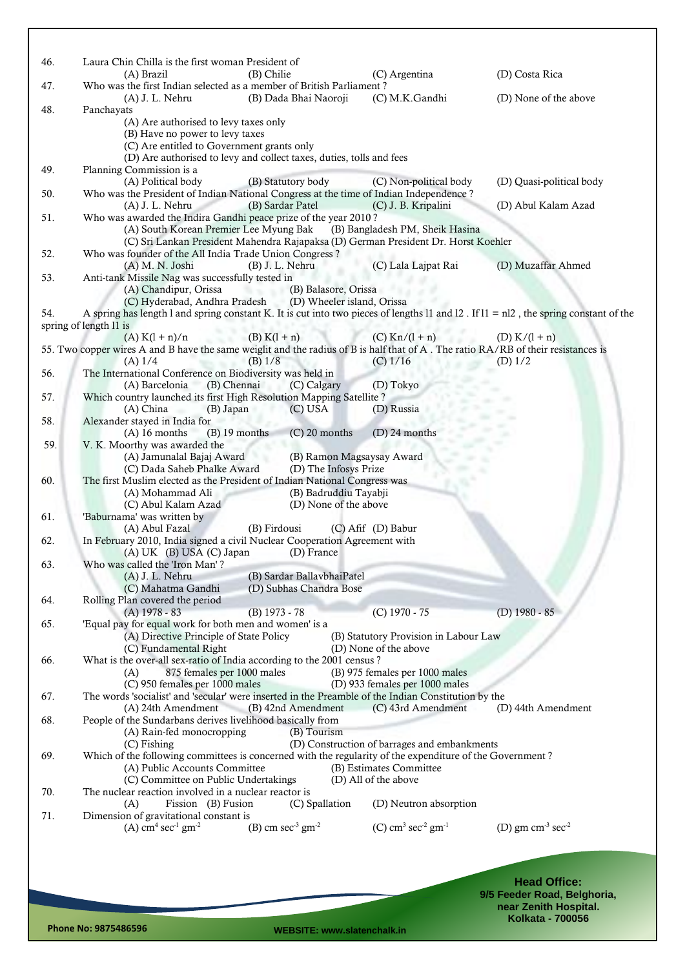| 46. | Laura Chin Chilla is the first woman President of<br>(A) Brazil<br>(B) Chilie                                                                                                                          | (C) Argentina                                 | (D) Costa Rica           |
|-----|--------------------------------------------------------------------------------------------------------------------------------------------------------------------------------------------------------|-----------------------------------------------|--------------------------|
| 47. | Who was the first Indian selected as a member of British Parliament?<br>$(A)$ J. L. Nehru<br>(B) Dada Bhai Naoroji                                                                                     | (C) M.K.Gandhi                                | (D) None of the above    |
| 48. | Panchayats                                                                                                                                                                                             |                                               |                          |
|     | (A) Are authorised to levy taxes only<br>(B) Have no power to levy taxes<br>(C) Are entitled to Government grants only<br>(D) Are authorised to levy and collect taxes, duties, tolls and fees         |                                               |                          |
| 49. | Planning Commission is a                                                                                                                                                                               |                                               |                          |
|     | (A) Political body<br>(B) Statutory body                                                                                                                                                               | (C) Non-political body                        | (D) Quasi-political body |
| 50. | Who was the President of Indian National Congress at the time of Indian Independence?                                                                                                                  |                                               |                          |
|     | (B) Sardar Patel<br>$(A)$ J. L. Nehru<br>Who was awarded the Indira Gandhi peace prize of the year 2010?                                                                                               | (C) J. B. Kripalini                           | (D) Abul Kalam Azad      |
| 51. | (A) South Korean Premier Lee Myung Bak                                                                                                                                                                 | (B) Bangladesh PM, Sheik Hasina               |                          |
|     | (C) Sri Lankan President Mahendra Rajapaksa (D) German President Dr. Horst Koehler                                                                                                                     |                                               |                          |
| 52. | Who was founder of the All India Trade Union Congress?                                                                                                                                                 |                                               |                          |
|     | (A) M. N. Joshi<br>$(B)$ J. L. Nehru                                                                                                                                                                   | (C) Lala Lajpat Rai                           | (D) Muzaffar Ahmed       |
| 53. | Anti-tank Missile Nag was successfully tested in                                                                                                                                                       |                                               |                          |
|     | (A) Chandipur, Orissa<br>(B) Balasore, Orissa                                                                                                                                                          |                                               |                          |
| 54. | (C) Hyderabad, Andhra Pradesh<br>(D) Wheeler island, Orissa<br>A spring has length 1 and spring constant K. It is cut into two pieces of lengths 11 and 12. If $11 = n12$ , the spring constant of the |                                               |                          |
|     | spring of length 11 is                                                                                                                                                                                 |                                               |                          |
|     | $(B) K(1 + n)$<br>$(A) K(l + n)/n$                                                                                                                                                                     | $(C)$ Kn/ $(1 + n)$                           | (D) $K/(1 + n)$          |
|     | 55. Two copper wires A and B have the same weiglit and the radius of B is half that of A. The ratio RA/RB of their resistances is                                                                      |                                               |                          |
|     | $(B)$ 1/8<br>$(A)$ 1/4                                                                                                                                                                                 | $(C)$ 1/16                                    | $(D)$ 1/2                |
| 56. | The International Conference on Biodiversity was held in                                                                                                                                               |                                               |                          |
|     | (B) Chennai<br>(C) Calgary<br>(A) Barcelonia                                                                                                                                                           | (D) Tokyo                                     |                          |
| 57. | Which country launched its first High Resolution Mapping Satellite?<br>(A) China<br>(B) Japan<br>$(C)$ USA                                                                                             | (D) Russia                                    |                          |
| 58. | Alexander stayed in India for                                                                                                                                                                          |                                               |                          |
|     | $(A)$ 16 months<br>$(B)$ 19 months<br>$(C)$ 20 months                                                                                                                                                  | $(D)$ 24 months                               |                          |
| 59. | V. K. Moorthy was awarded the                                                                                                                                                                          |                                               |                          |
|     | (A) Jamunalal Bajaj Award<br>(B) Ramon Magsaysay Award<br>×                                                                                                                                            |                                               |                          |
|     | (C) Dada Saheb Phalke Award<br>(D) The Infosys Prize                                                                                                                                                   |                                               |                          |
| 60. | The first Muslim elected as the President of Indian National Congress was<br>(B) Badruddiu Tayabji<br>(A) Mohammad Ali                                                                                 |                                               |                          |
|     | (D) None of the above<br>(C) Abul Kalam Azad                                                                                                                                                           |                                               |                          |
| 61. | 'Baburnama' was written by                                                                                                                                                                             |                                               |                          |
|     | (A) Abul Fazal<br>(B) Firdousi                                                                                                                                                                         | (C) Afif (D) Babur                            |                          |
| 62. | In February 2010, India signed a civil Nuclear Cooperation Agreement with                                                                                                                              |                                               |                          |
|     | (D) France<br>$(A) UK$ $(B) USA$ $(C) Japan$                                                                                                                                                           |                                               |                          |
| 63. | Who was called the 'Iron Man'?<br>(A) J. L. Nehru<br>(B) Sardar BallavbhaiPatel                                                                                                                        |                                               |                          |
|     | (C) Mahatma Gandhi<br>(D) Subhas Chandra Bose                                                                                                                                                          |                                               |                          |
| 64. | Rolling Plan covered the period                                                                                                                                                                        |                                               |                          |
|     | $(A)$ 1978 - 83<br>(B) 1973 - 78                                                                                                                                                                       | (C) 1970 - 75                                 | (D) $1980 - 85$          |
| 65. | 'Equal pay for equal work for both men and women' is a                                                                                                                                                 |                                               |                          |
|     | (A) Directive Principle of State Policy                                                                                                                                                                | (B) Statutory Provision in Labour Law         |                          |
| 66. | (C) Fundamental Right<br>What is the over-all sex-ratio of India according to the 2001 census?                                                                                                         | (D) None of the above                         |                          |
|     | 875 females per 1000 males<br>(A)                                                                                                                                                                      | (B) 975 females per 1000 males                |                          |
|     | (C) 950 females per 1000 males                                                                                                                                                                         | (D) 933 females per 1000 males                |                          |
| 67. | The words 'socialist' and 'secular' were inserted in the Preamble of the Indian Constitution by the                                                                                                    |                                               |                          |
|     | (B) 42nd Amendment<br>(A) 24th Amendment                                                                                                                                                               | (C) 43rd Amendment                            | (D) 44th Amendment       |
| 68. | People of the Sundarbans derives livelihood basically from                                                                                                                                             |                                               |                          |
|     | (A) Rain-fed monocropping<br>(B) Tourism                                                                                                                                                               | (D) Construction of barrages and embankments  |                          |
| 69. | (C) Fishing<br>Which of the following committees is concerned with the regularity of the expenditure of the Government?                                                                                |                                               |                          |
|     | (A) Public Accounts Committee                                                                                                                                                                          | (B) Estimates Committee                       |                          |
|     | (C) Committee on Public Undertakings                                                                                                                                                                   | (D) All of the above                          |                          |
| 70. | The nuclear reaction involved in a nuclear reactor is                                                                                                                                                  |                                               |                          |
|     | (C) Spallation<br>(A)<br>Fission (B) Fusion                                                                                                                                                            | (D) Neutron absorption                        |                          |
| 71. | Dimension of gravitational constant is<br>(B) cm $\sec^3$ gm <sup>-2</sup><br>(A) $cm4 sec-1 gm-2$                                                                                                     | (C) $cm^3$ sec <sup>-2</sup> gm <sup>-1</sup> | (D) gm $cm-3 sec-2$      |
|     |                                                                                                                                                                                                        |                                               |                          |
|     |                                                                                                                                                                                                        |                                               |                          |
|     |                                                                                                                                                                                                        |                                               |                          |
|     |                                                                                                                                                                                                        |                                               |                          |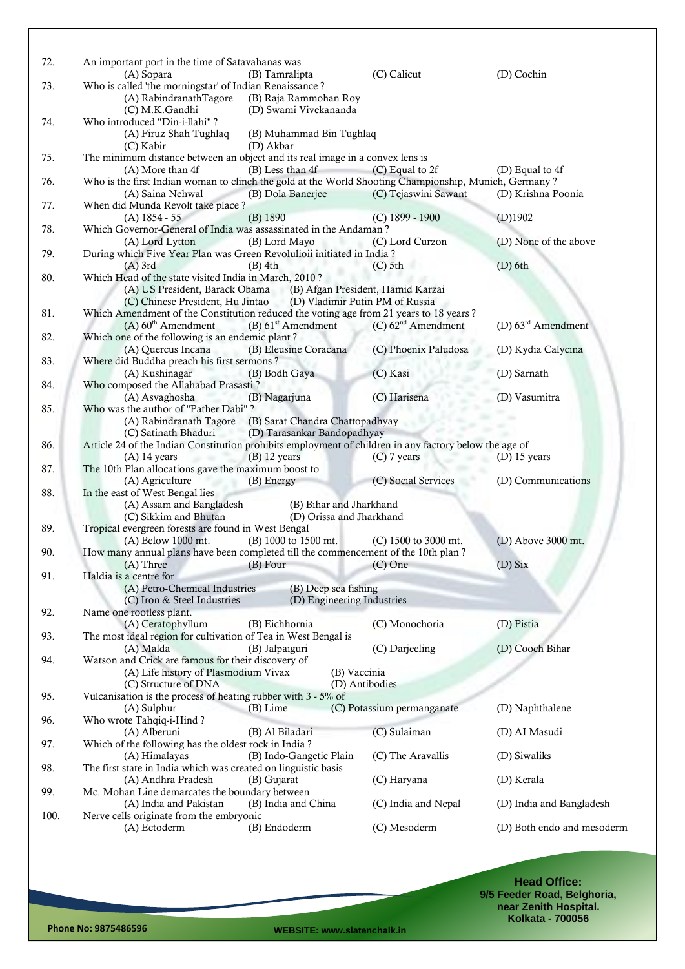| 72.  | An important port in the time of Satavahanas was                                                       |                                                                  |                                  |                            |
|------|--------------------------------------------------------------------------------------------------------|------------------------------------------------------------------|----------------------------------|----------------------------|
|      | (A) Sopara                                                                                             | (B) Tamralipta                                                   | (C) Calicut                      | (D) Cochin                 |
| 73.  | Who is called 'the morningstar' of Indian Renaissance ?                                                |                                                                  |                                  |                            |
|      | (A) RabindranathTagore                                                                                 | (B) Raja Rammohan Roy                                            |                                  |                            |
| 74.  | (C) M.K.Gandhi<br>Who introduced "Din-i-llahi"?                                                        | (D) Swami Vivekananda                                            |                                  |                            |
|      | (A) Firuz Shah Tughlaq                                                                                 | (B) Muhammad Bin Tughlaq                                         |                                  |                            |
|      | (C) Kabir                                                                                              | (D) Akbar                                                        |                                  |                            |
| 75.  | The minimum distance between an object and its real image in a convex lens is                          |                                                                  |                                  |                            |
|      | (A) More than 4f                                                                                       | (B) Less than 4f                                                 | (C) Equal to 2f                  | (D) Equal to 4f            |
| 76.  | Who is the first Indian woman to clinch the gold at the World Shooting Championship, Munich, Germany?  |                                                                  |                                  |                            |
|      | (A) Saina Nehwal                                                                                       | (B) Dola Banerjee                                                | (C) Tejaswini Sawant             | (D) Krishna Poonia         |
| 77.  | When did Munda Revolt take place?                                                                      |                                                                  |                                  |                            |
|      | $(A)$ 1854 - 55                                                                                        | (B) 1890                                                         | $(C)$ 1899 - 1900                | (D)1902                    |
| 78.  | Which Governor-General of India was assassinated in the Andaman?<br>(A) Lord Lytton                    | (B) Lord Mayo                                                    | (C) Lord Curzon                  | (D) None of the above      |
| 79.  | During which Five Year Plan was Green Revolulioii initiated in India?                                  |                                                                  |                                  |                            |
|      | $(A)$ 3rd                                                                                              | $(B)$ 4th                                                        | $(C)$ 5th                        | $(D)$ 6th                  |
| 80.  | Which Head of the state visited India in March, 2010?                                                  |                                                                  |                                  |                            |
|      |                                                                                                        | (A) US President, Barack Obama (B) Afgan President, Hamid Karzai |                                  |                            |
|      |                                                                                                        | (C) Chinese President, Hu Jintao (D) Vladimir Putin PM of Russia |                                  |                            |
| 81.  | Which Amendment of the Constitution reduced the voting age from 21 years to 18 years?                  |                                                                  |                                  |                            |
|      | $(A)$ 60 <sup>th</sup> Amendment                                                                       | (B) 61 <sup>st</sup> Amendment                                   | $(C)$ 62 <sup>nd</sup> Amendment | (D) 63rd Amendment         |
| 82.  | Which one of the following is an endemic plant?                                                        |                                                                  |                                  |                            |
|      | (A) Quercus Incana                                                                                     | (B) Eleusine Coracana                                            | (C) Phoenix Paludosa             | (D) Kydia Calycina         |
| 83.  | Where did Buddha preach his first sermons?<br>(A) Kushinagar                                           | (B) Bodh Gaya                                                    | (C) Kasi                         | (D) Sarnath                |
| 84.  | Who composed the Allahabad Prasasti?                                                                   |                                                                  |                                  |                            |
|      | (A) Asvaghosha                                                                                         | (B) Nagarjuna                                                    | (C) Harisena                     | (D) Vasumitra              |
| 85.  | Who was the author of "Pather Dabi"?                                                                   |                                                                  |                                  |                            |
|      |                                                                                                        | (A) Rabindranath Tagore (B) Sarat Chandra Chattopadhyay          |                                  |                            |
|      | (C) Satinath Bhaduri                                                                                   | (D) Tarasankar Bandopadhyay                                      |                                  |                            |
| 86.  | Article 24 of the Indian Constitution prohibits employment of children in any factory below the age of |                                                                  |                                  |                            |
|      | $(A)$ 14 years                                                                                         | $(B)$ 12 years                                                   | $(C)$ 7 years                    | (D) $15$ years             |
| 87.  | The 10th Plan allocations gave the maximum boost to                                                    |                                                                  |                                  |                            |
| 88.  | (A) Agriculture<br>In the east of West Bengal lies                                                     | (B) Energy                                                       | (C) Social Services              | (D) Communications         |
|      | (A) Assam and Bangladesh                                                                               | (B) Bihar and Jharkhand                                          |                                  |                            |
|      | (C) Sikkim and Bhutan                                                                                  | (D) Orissa and Jharkhand                                         |                                  |                            |
| 89.  | Tropical evergreen forests are found in West Bengal                                                    |                                                                  |                                  |                            |
|      | (A) Below 1000 mt.                                                                                     | (B) 1000 to 1500 mt.                                             | $(C)$ 1500 to 3000 mt.           | (D) Above 3000 mt.         |
| 90.  | How many annual plans have been completed till the commencement of the 10th plan?                      |                                                                  |                                  |                            |
|      | $(A)$ Three $(B)$ Four $(C)$ One                                                                       |                                                                  |                                  | $(D)$ Six                  |
| 91.  | Haldia is a centre for                                                                                 |                                                                  |                                  |                            |
|      | (A) Petro-Chemical Industries<br>(C) Iron & Steel Industries                                           | (B) Deep sea fishing<br>(D) Engineering Industries               |                                  |                            |
| 92.  | Name one rootless plant.                                                                               |                                                                  |                                  |                            |
|      | (A) Ceratophyllum                                                                                      | (B) Eichhornia                                                   | (C) Monochoria                   | (D) Pistia                 |
| 93.  | The most ideal region for cultivation of Tea in West Bengal is                                         |                                                                  |                                  |                            |
|      | (A) Malda                                                                                              | (B) Jalpaiguri                                                   | (C) Darjeeling                   | (D) Cooch Bihar            |
| 94.  | Watson and Crick are famous for their discovery of                                                     |                                                                  |                                  |                            |
|      | (A) Life history of Plasmodium Vivax                                                                   | (B) Vaccinia                                                     |                                  |                            |
|      | (C) Structure of DNA                                                                                   | (D) Antibodies                                                   |                                  |                            |
| 95.  | Vulcanisation is the process of heating rubber with 3 - 5% of<br>(A) Sulphur                           | $(B)$ Lime                                                       | (C) Potassium permanganate       | (D) Naphthalene            |
| 96.  | Who wrote Tahqiq-i-Hind?                                                                               |                                                                  |                                  |                            |
|      | (A) Alberuni                                                                                           | (B) Al Biladari                                                  | (C) Sulaiman                     | (D) AI Masudi              |
| 97.  | Which of the following has the oldest rock in India?                                                   |                                                                  |                                  |                            |
|      | (A) Himalayas                                                                                          | (B) Indo-Gangetic Plain                                          | (C) The Aravallis                | (D) Siwaliks               |
| 98.  | The first state in India which was created on linguistic basis                                         |                                                                  |                                  |                            |
|      | (A) Andhra Pradesh                                                                                     | (B) Gujarat                                                      | (C) Haryana                      | (D) Kerala                 |
| 99.  | Mc. Mohan Line demarcates the boundary between                                                         |                                                                  |                                  |                            |
|      | (A) India and Pakistan                                                                                 | (B) India and China                                              | (C) India and Nepal              | (D) India and Bangladesh   |
| 100. | Nerve cells originate from the embryonic<br>(A) Ectoderm                                               | (B) Endoderm                                                     | (C) Mesoderm                     | (D) Both endo and mesoderm |
|      |                                                                                                        |                                                                  |                                  |                            |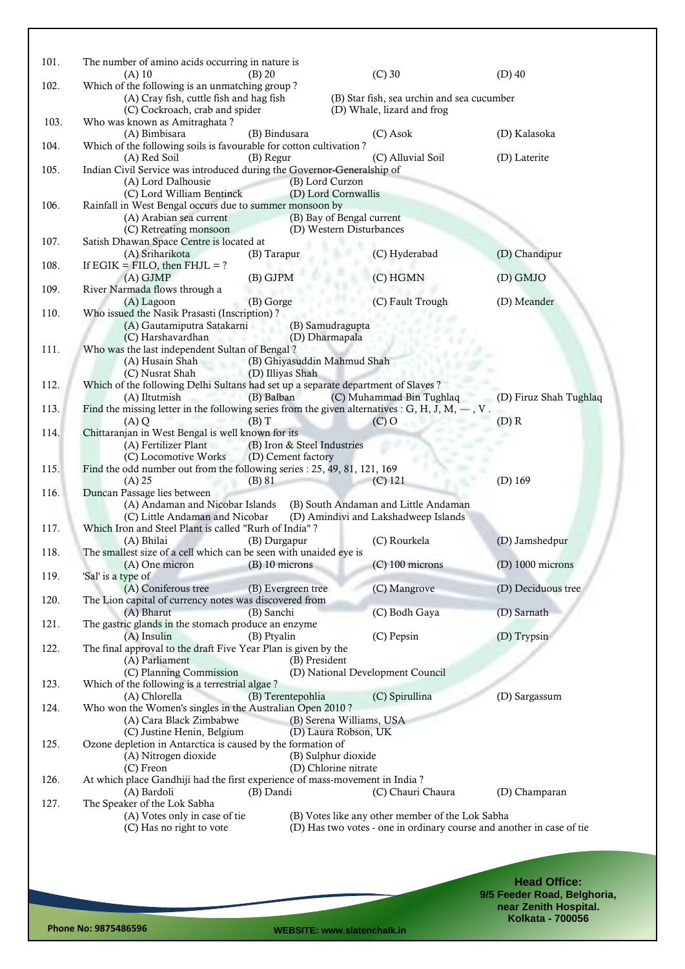| 101. | The number of amino acids occurring in nature is                                                   |                                        |                                                                       |                        |
|------|----------------------------------------------------------------------------------------------------|----------------------------------------|-----------------------------------------------------------------------|------------------------|
|      | $(A)$ 10                                                                                           | $(B)$ 20                               | $(C)$ 30                                                              | $(D)$ 40               |
| 102. | Which of the following is an unmatching group?<br>(A) Cray fish, cuttle fish and hag fish          |                                        | (B) Star fish, sea urchin and sea cucumber                            |                        |
|      | (C) Cockroach, crab and spider                                                                     |                                        | (D) Whale, lizard and frog                                            |                        |
| 103. | Who was known as Amitraghata?                                                                      |                                        |                                                                       |                        |
| 104. | (A) Bimbisara<br>Which of the following soils is favourable for cotton cultivation?                | (B) Bindusara                          | (C) Asok                                                              | (D) Kalasoka           |
|      | (A) Red Soil                                                                                       | (B) Regur                              | (C) Alluvial Soil                                                     | (D) Laterite           |
| 105. | Indian Civil Service was introduced during the Governor-Generalship of                             |                                        |                                                                       |                        |
|      | (A) Lord Dalhousie<br>(C) Lord William Bentinck                                                    | (B) Lord Curzon<br>(D) Lord Cornwallis |                                                                       |                        |
| 106. | Rainfall in West Bengal occurs due to summer monsoon by                                            |                                        |                                                                       |                        |
|      | (A) Arabian sea current                                                                            | (B) Bay of Bengal current              |                                                                       |                        |
| 107. | (C) Retreating monsoon<br>Satish Dhawan Space Centre is located at                                 | (D) Western Disturbances               |                                                                       |                        |
|      | (A) Sriharikota                                                                                    | (B) Tarapur                            | (C) Hyderabad                                                         | (D) Chandipur          |
| 108. | If $EGIK = FILO$ , then $FHJL = ?$                                                                 |                                        |                                                                       |                        |
|      | $(A)$ GJMP                                                                                         | (B) GJPM                               | (C) HGMN                                                              | (D) GMJO               |
| 109. | River Narmada flows through a<br>(A) Lagoon                                                        | (B) Gorge                              | (C) Fault Trough                                                      | (D) Meander            |
| 110. | Who issued the Nasik Prasasti (Inscription)?                                                       |                                        |                                                                       |                        |
|      | (A) Gautamiputra Satakarni                                                                         | (B) Samudragupta                       |                                                                       |                        |
| 111. | (C) Harshavardhan<br>Who was the last independent Sultan of Bengal?                                | (D) Dharmapala                         |                                                                       |                        |
|      | (A) Husain Shah                                                                                    | (B) Ghiyasuddin Mahmud Shah            |                                                                       |                        |
|      | (C) Nusrat Shah                                                                                    | (D) Illiyas Shah                       |                                                                       |                        |
| 112. | Which of the following Delhi Sultans had set up a separate department of Slaves?<br>(A) Iltutmish  | (B) Balban                             | (C) Muhammad Bin Tughlaq                                              | (D) Firuz Shah Tughlaq |
| 113. | Find the missing letter in the following series from the given alternatives : G, H, J, M, $-$ , V. |                                        |                                                                       |                        |
|      | (A)Q                                                                                               | $(B)$ T                                | $(C)$ O                                                               | $(D)$ R                |
| 114. | Chittaranjan in West Bengal is well known for its<br>(A) Fertilizer Plant                          | (B) Iron & Steel Industries            |                                                                       |                        |
|      | (C) Locomotive Works                                                                               | (D) Cement factory                     |                                                                       |                        |
| 115. | Find the odd number out from the following series : 25, 49, 81, 121, 169                           |                                        |                                                                       |                        |
|      | $(A)$ 25                                                                                           | $(B)$ 81                               | $(C)$ 121                                                             | $(D)$ 169              |
| 116. | Duncan Passage lies between<br>(A) Andaman and Nicobar Islands                                     |                                        | (B) South Andaman and Little Andaman                                  |                        |
|      | (C) Little Andaman and Nicobar                                                                     |                                        | (D) Amindivi and Lakshadweep Islands                                  |                        |
| 117. | Which Iron and Steel Plant is called "Rurh of India"?                                              |                                        |                                                                       |                        |
| 118. | (A) Bhilai<br>The smallest size of a cell which can be seen with unaided eye is                    | (B) Durgapur                           | (C) Rourkela                                                          | (D) Jamshedpur         |
|      | (A) One micron (B) 10 microns                                                                      |                                        | $(C)$ 100 microns                                                     | $(D)$ 1000 microns     |
| 119. | 'Sal' is a type of                                                                                 |                                        |                                                                       |                        |
| 120. | (A) Coniferous tree<br>The Lion capital of currency notes was discovered from                      | (B) Evergreen tree                     | (C) Mangrove                                                          | (D) Deciduous tree     |
|      | (A) Bharut                                                                                         | (B) Sanchi                             | (C) Bodh Gaya                                                         | (D) Sarnath            |
| 121. | The gastric glands in the stomach produce an enzyme                                                |                                        |                                                                       |                        |
| 122. | $(A)$ Insulin<br>The final approval to the draft Five Year Plan is given by the                    | (B) Ptyalin                            | (C) Pepsin                                                            | (D) Trypsin            |
|      | (A) Parliament                                                                                     | (B) President                          |                                                                       |                        |
|      | (C) Planning Commission                                                                            |                                        | (D) National Development Council                                      |                        |
| 123. | Which of the following is a terrestrial algae?<br>(A) Chlorella                                    | (B) Terentepohlia                      | (C) Spirullina                                                        | (D) Sargassum          |
| 124. | Who won the Women's singles in the Australian Open 2010?                                           |                                        |                                                                       |                        |
|      | (A) Cara Black Zimbabwe                                                                            | (B) Serena Williams, USA               |                                                                       |                        |
| 125. | (C) Justine Henin, Belgium<br>Ozone depletion in Antarctica is caused by the formation of          | (D) Laura Robson, UK                   |                                                                       |                        |
|      | (A) Nitrogen dioxide                                                                               | (B) Sulphur dioxide                    |                                                                       |                        |
|      | $(C)$ Freon                                                                                        | (D) Chlorine nitrate                   |                                                                       |                        |
| 126. | At which place Gandhiji had the first experience of mass-movement in India?<br>(A) Bardoli         | (B) Dandi                              | (C) Chauri Chaura                                                     | (D) Champaran          |
| 127. | The Speaker of the Lok Sabha                                                                       |                                        |                                                                       |                        |
|      | (A) Votes only in case of tie                                                                      |                                        | (B) Votes like any other member of the Lok Sabha                      |                        |
|      | (C) Has no right to vote                                                                           |                                        | (D) Has two votes - one in ordinary course and another in case of tie |                        |
|      |                                                                                                    |                                        |                                                                       |                        |
|      |                                                                                                    |                                        |                                                                       |                        |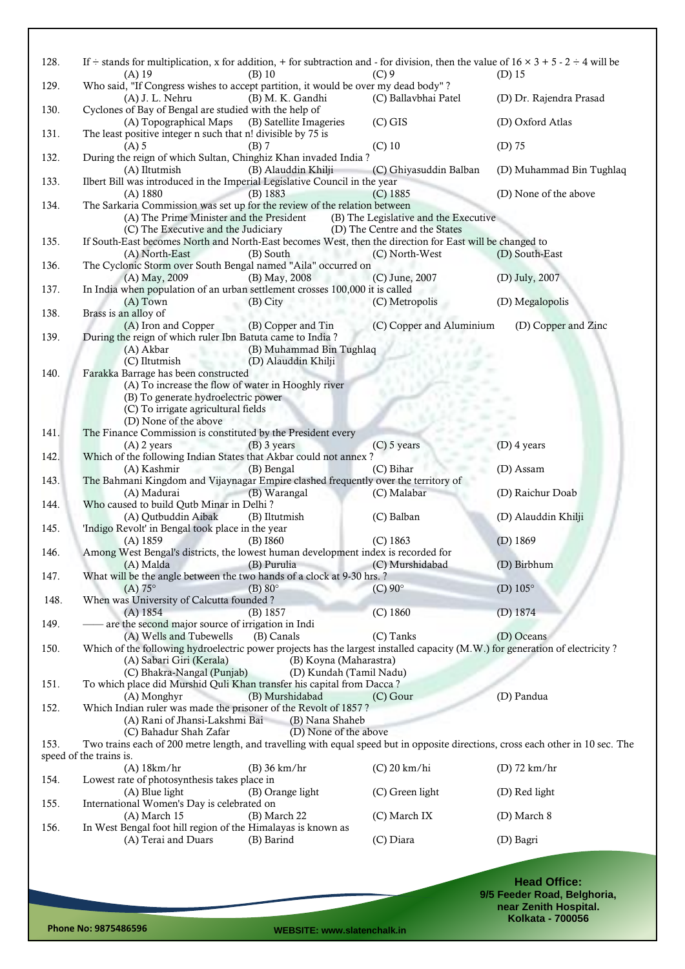| 128.         | If $\div$ stands for multiplication, x for addition, + for subtraction and - for division, then the value of $16 \times 3 + 5 \cdot 2 \div 4$ will be<br>$(A)$ 19<br>(B) 10         | $(C)$ 9                                                                | $(D)$ 15                                             |
|--------------|-------------------------------------------------------------------------------------------------------------------------------------------------------------------------------------|------------------------------------------------------------------------|------------------------------------------------------|
| 129.         | Who said, "If Congress wishes to accept partition, it would be over my dead body"?<br>(B) M. K. Gandhi<br>(A) J. L. Nehru                                                           | (C) Ballavbhai Patel                                                   | (D) Dr. Rajendra Prasad                              |
| 130.         | Cyclones of Bay of Bengal are studied with the help of<br>(B) Satellite Imageries<br>(A) Topographical Maps                                                                         | $(C)$ GIS                                                              | (D) Oxford Atlas                                     |
| 131.         | The least positive integer n such that n! divisible by 75 is<br>$(A)$ 5<br>$(B)$ 7                                                                                                  | $(C)$ 10                                                               | $(D)$ 75                                             |
| 132.         | During the reign of which Sultan, Chinghiz Khan invaded India?<br>(A) Iltutmish<br>(B) Alauddin Khilji                                                                              | (C) Ghiyasuddin Balban                                                 | (D) Muhammad Bin Tughlaq                             |
| 133.         | Ilbert Bill was introduced in the Imperial Legislative Council in the year<br>(B) 1883<br>$(A)$ 1880                                                                                | $(C)$ 1885                                                             | (D) None of the above                                |
| 134.         | The Sarkaria Commission was set up for the review of the relation between<br>(A) The Prime Minister and the President<br>(C) The Executive and the Judiciary                        | (B) The Legislative and the Executive<br>(D) The Centre and the States |                                                      |
| 135.         | If South-East becomes North and North-East becomes West, then the direction for East will be changed to<br>(A) North-East<br>(B) South                                              | (C) North-West                                                         | (D) South-East                                       |
| 136.         | The Cyclonic Storm over South Bengal named "Aila" occurred on<br>(A) May, 2009<br>(B) May, 2008                                                                                     | (C) June, 2007                                                         | (D) July, 2007                                       |
| 137.         | In India when population of an urban settlement crosses 100,000 it is called<br>$(A)$ Town<br>(B) City                                                                              | (C) Metropolis                                                         | (D) Megalopolis                                      |
| 138.         | Brass is an alloy of<br>(A) Iron and Copper<br>(B) Copper and Tin                                                                                                                   | (C) Copper and Aluminium                                               | (D) Copper and Zinc                                  |
| 139.         | During the reign of which ruler Ibn Batuta came to India?<br>(B) Muhammad Bin Tughlaq<br>(A) Akbar                                                                                  |                                                                        |                                                      |
| 140.         | (D) Alauddin Khilji<br>(C) Iltutmish<br>Farakka Barrage has been constructed                                                                                                        |                                                                        |                                                      |
|              | (A) To increase the flow of water in Hooghly river<br>(B) To generate hydroelectric power                                                                                           |                                                                        |                                                      |
|              | (C) To irrigate agricultural fields<br>(D) None of the above                                                                                                                        |                                                                        |                                                      |
| 141.         | The Finance Commission is constituted by the President every<br>$(A)$ 2 years<br>$(B)$ 3 years                                                                                      | $(C)$ 5 years                                                          | $(D)$ 4 years                                        |
| 142.         | Which of the following Indian States that Akbar could not annex?<br>(A) Kashmir<br>The Company<br>(B) Bengal                                                                        | (C) Bihar                                                              | (D) Assam                                            |
| 143.         | The Bahmani Kingdom and Vijaynagar Empire clashed frequently over the territory of<br>(A) Madurai<br>(B) Warangal                                                                   | (C) Malabar                                                            | (D) Raichur Doab                                     |
| 144.         | Who caused to build Qutb Minar in Delhi?<br>(A) Qutbuddin Aibak<br>(B) Iltutmish<br>'Indigo Revolt' in Bengal took place in the year                                                | (C) Balban                                                             | (D) Alauddin Khilji                                  |
| 145.<br>146. | $(B)$ 1860<br>$(A)$ 1859<br>Among West Bengal's districts, the lowest human development index is recorded for                                                                       | $(C)$ 1863                                                             | $(D)$ 1869                                           |
| 147.         | (A) Malda (B) Purulia (C) Murshidabad<br>What will be the angle between the two hands of a clock at 9-30 hrs. ?                                                                     |                                                                        | (D) Birbhum                                          |
| 148.         | $(A) 75^\circ$<br>$(B) 80^\circ$<br>When was University of Calcutta founded?                                                                                                        | $(C)$ 90 $^{\circ}$                                                    | (D) $105^\circ$                                      |
| 149.         | (B) 1857<br>$(A)$ 1854<br>- are the second major source of irrigation in Indi                                                                                                       | (C) 1860                                                               | $(D)$ 1874                                           |
| 150.         | (A) Wells and Tubewells<br>(B) Canals<br>Which of the following hydroelectric power projects has the largest installed capacity (M.W.) for generation of electricity?               | (C) Tanks                                                              | (D) Oceans                                           |
|              | (A) Sabari Giri (Kerala)<br>(B) Koyna (Maharastra)<br>(D) Kundah (Tamil Nadu)<br>(C) Bhakra-Nangal (Punjab)                                                                         |                                                                        |                                                      |
| 151.         | To which place did Murshid Quli Khan transfer his capital from Dacca?<br>(B) Murshidabad<br>(A) Monghyr                                                                             | $(C)$ Gour                                                             | (D) Pandua                                           |
| 152.         | Which Indian ruler was made the prisoner of the Revolt of 1857?<br>(A) Rani of Jhansi-Lakshmi Bai<br>(B) Nana Shaheb                                                                |                                                                        |                                                      |
| 153.         | (C) Bahadur Shah Zafar<br>(D) None of the above<br>Two trains each of 200 metre length, and travelling with equal speed but in opposite directions, cross each other in 10 sec. The |                                                                        |                                                      |
|              | speed of the trains is.<br>$(B)$ 36 km/hr<br>$(A)$ 18 $km/hr$                                                                                                                       | $(C)$ 20 km/hi                                                         | (D) $72 \text{ km/hr}$                               |
| 154.         | Lowest rate of photosynthesis takes place in<br>(A) Blue light<br>(B) Orange light                                                                                                  | (C) Green light                                                        | (D) Red light                                        |
| 155.         | International Women's Day is celebrated on<br>$(A)$ March 15<br>(B) March 22                                                                                                        | (C) March IX                                                           | (D) March 8                                          |
| 156.         | In West Bengal foot hill region of the Himalayas is known as<br>(A) Terai and Duars<br>(B) Barind                                                                                   | (C) Diara                                                              | (D) Bagri                                            |
|              |                                                                                                                                                                                     |                                                                        |                                                      |
|              |                                                                                                                                                                                     |                                                                        | <b>Head Office:</b>                                  |
|              |                                                                                                                                                                                     |                                                                        | 9/5 Feeder Road, Belghoria,<br>near Zenith Hospital. |

**Phone No: 9875486596 WEBSITE: www.slatenchalk.in**

**Kolkata - 700056**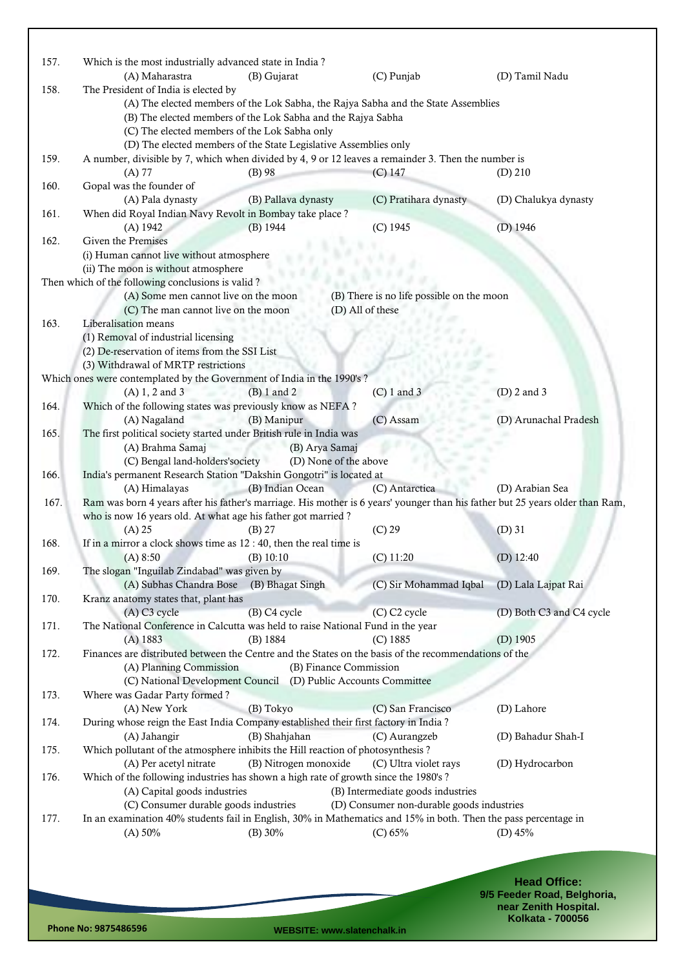| 157. | Which is the most industrially advanced state in India?                                                                          |                       |                                                                                |                          |  |  |  |
|------|----------------------------------------------------------------------------------------------------------------------------------|-----------------------|--------------------------------------------------------------------------------|--------------------------|--|--|--|
| 158. | (A) Maharastra<br>The President of India is elected by                                                                           | (B) Gujarat           | (C) Punjab                                                                     | (D) Tamil Nadu           |  |  |  |
|      | (A) The elected members of the Lok Sabha, the Rajya Sabha and the State Assemblies                                               |                       |                                                                                |                          |  |  |  |
|      | (B) The elected members of the Lok Sabha and the Rajya Sabha                                                                     |                       |                                                                                |                          |  |  |  |
|      | (C) The elected members of the Lok Sabha only                                                                                    |                       |                                                                                |                          |  |  |  |
|      | (D) The elected members of the State Legislative Assemblies only                                                                 |                       |                                                                                |                          |  |  |  |
| 159. | A number, divisible by 7, which when divided by 4, 9 or 12 leaves a remainder 3. Then the number is                              |                       |                                                                                |                          |  |  |  |
| 160. | $(A)$ 77<br>Gopal was the founder of                                                                                             | $(B)$ 98              | $(C)$ 147                                                                      | $(D)$ 210                |  |  |  |
|      | (A) Pala dynasty                                                                                                                 | (B) Pallava dynasty   | (C) Pratihara dynasty                                                          | (D) Chalukya dynasty     |  |  |  |
| 161. | When did Royal Indian Navy Revolt in Bombay take place?                                                                          |                       |                                                                                |                          |  |  |  |
|      | (A) 1942                                                                                                                         | (B) 1944              | (C) 1945                                                                       | (D) 1946                 |  |  |  |
| 162. | Given the Premises                                                                                                               |                       |                                                                                |                          |  |  |  |
|      | (i) Human cannot live without atmosphere                                                                                         |                       |                                                                                |                          |  |  |  |
|      | (ii) The moon is without atmosphere                                                                                              |                       |                                                                                |                          |  |  |  |
|      | Then which of the following conclusions is valid?                                                                                |                       |                                                                                |                          |  |  |  |
|      | (A) Some men cannot live on the moon<br>(C) The man cannot live on the moon                                                      |                       | (B) There is no life possible on the moon<br>(D) All of these                  |                          |  |  |  |
| 163. | Liberalisation means                                                                                                             |                       |                                                                                |                          |  |  |  |
|      | (1) Removal of industrial licensing                                                                                              |                       |                                                                                |                          |  |  |  |
|      | (2) De-reservation of items from the SSI List                                                                                    |                       |                                                                                |                          |  |  |  |
|      | (3) Withdrawal of MRTP restrictions                                                                                              |                       |                                                                                |                          |  |  |  |
|      | Which ones were contemplated by the Government of India in the 1990's ?                                                          |                       |                                                                                |                          |  |  |  |
|      | $(A) 1, 2$ and 3                                                                                                                 | $(B) 1$ and 2         | $(C) 1$ and 3                                                                  | $(D)$ 2 and 3            |  |  |  |
| 164. | Which of the following states was previously know as NEFA?                                                                       |                       |                                                                                |                          |  |  |  |
| 165. | (A) Nagaland<br>The first political society started under British rule in India was                                              | (B) Manipur           | (C) Assam                                                                      | (D) Arunachal Pradesh    |  |  |  |
|      | (A) Brahma Samaj                                                                                                                 | (B) Arya Samaj        |                                                                                |                          |  |  |  |
|      | (C) Bengal land-holders'society                                                                                                  | s.                    | (D) None of the above                                                          |                          |  |  |  |
| 166. | India's permanent Research Station "Dakshin Gongotri" is located at                                                              |                       |                                                                                |                          |  |  |  |
|      | (A) Himalayas                                                                                                                    | (B) Indian Ocean      | (C) Antarctica                                                                 | (D) Arabian Sea          |  |  |  |
| 167. | Ram was born 4 years after his father's marriage. His mother is 6 years' younger than his father but 25 years older than Ram,    |                       |                                                                                |                          |  |  |  |
|      | who is now 16 years old. At what age his father got married?                                                                     |                       |                                                                                |                          |  |  |  |
| 168. | $(A)$ 25<br>If in a mirror a clock shows time as $12:40$ , then the real time is                                                 | $(B)$ 27              | $(C)$ 29                                                                       | $(D)$ 31                 |  |  |  |
|      | (A) 8:50                                                                                                                         | (B) 10:10             | $(C)$ 11:20                                                                    | (D) $12:40$              |  |  |  |
| 169. | The slogan "Inguilab Zindabad" was given by                                                                                      |                       |                                                                                |                          |  |  |  |
|      | (A) Subhas Chandra Bose                                                                                                          | (B) Bhagat Singh      | (C) Sir Mohammad Iqbal                                                         | (D) Lala Lajpat Rai      |  |  |  |
| 170. | Kranz anatomy states that, plant has                                                                                             |                       |                                                                                |                          |  |  |  |
|      | $(A)$ C <sub>3</sub> cycle                                                                                                       | (B) C4 cycle          | (C) C2 cycle                                                                   | (D) Both C3 and C4 cycle |  |  |  |
| 171. | The National Conference in Calcutta was held to raise National Fund in the year                                                  |                       |                                                                                |                          |  |  |  |
|      | $(A)$ 1883                                                                                                                       | (B) 1884              | $(C)$ 1885                                                                     | $(D)$ 1905               |  |  |  |
| 172. | Finances are distributed between the Centre and the States on the basis of the recommendations of the<br>(A) Planning Commission |                       | (B) Finance Commission                                                         |                          |  |  |  |
|      | (C) National Development Council                                                                                                 |                       | (D) Public Accounts Committee                                                  |                          |  |  |  |
| 173. | Where was Gadar Party formed?                                                                                                    |                       |                                                                                |                          |  |  |  |
|      | (A) New York                                                                                                                     | (B) Tokyo             | (C) San Francisco                                                              | (D) Lahore               |  |  |  |
| 174. | During whose reign the East India Company established their first factory in India?                                              |                       |                                                                                |                          |  |  |  |
|      | (A) Jahangir                                                                                                                     | (B) Shahjahan         | (C) Aurangzeb                                                                  | (D) Bahadur Shah-I       |  |  |  |
| 175. | Which pollutant of the atmosphere inhibits the Hill reaction of photosynthesis?                                                  |                       |                                                                                |                          |  |  |  |
|      | (A) Per acetyl nitrate                                                                                                           | (B) Nitrogen monoxide | (C) Ultra violet rays                                                          | (D) Hydrocarbon          |  |  |  |
| 176. | Which of the following industries has shown a high rate of growth since the 1980's?                                              |                       |                                                                                |                          |  |  |  |
|      | (A) Capital goods industries<br>(C) Consumer durable goods industries                                                            |                       | (B) Intermediate goods industries<br>(D) Consumer non-durable goods industries |                          |  |  |  |
| 177. | In an examination 40% students fail in English, 30% in Mathematics and 15% in both. Then the pass percentage in                  |                       |                                                                                |                          |  |  |  |
|      | (A) 50%                                                                                                                          | (B) 30%               | (C) 65%                                                                        | (D) $45%$                |  |  |  |
|      |                                                                                                                                  |                       |                                                                                |                          |  |  |  |
|      |                                                                                                                                  |                       |                                                                                |                          |  |  |  |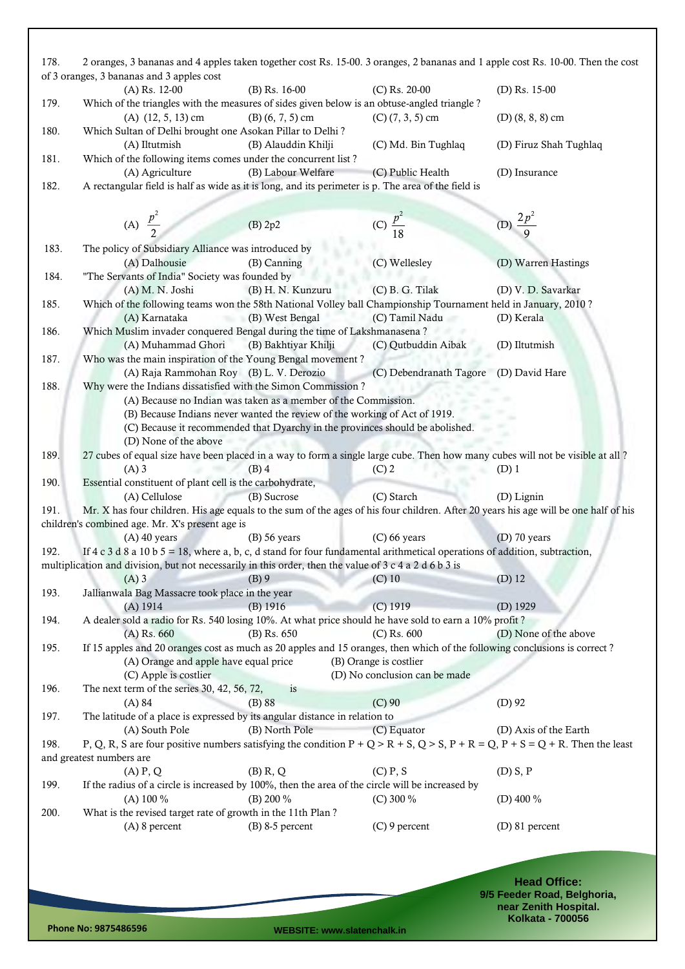| 178. | 2 oranges, 3 bananas and 4 apples taken together cost Rs. 15-00. 3 oranges, 2 bananas and 1 apple cost Rs. 10-00. Then the cost<br>of 3 oranges, 3 bananas and 3 apples cost |                                                                               |                                        |                        |
|------|------------------------------------------------------------------------------------------------------------------------------------------------------------------------------|-------------------------------------------------------------------------------|----------------------------------------|------------------------|
|      | $(A)$ Rs. 12-00                                                                                                                                                              | (B) Rs. 16-00                                                                 | $(C)$ Rs. 20-00                        | (D) Rs. $15-00$        |
| 179. | Which of the triangles with the measures of sides given below is an obtuse-angled triangle?                                                                                  |                                                                               |                                        |                        |
|      | $(A)$ $(12, 5, 13)$ cm                                                                                                                                                       | $(B)$ (6, 7, 5) cm                                                            | $(C)$ $(7, 3, 5)$ cm                   | $(D)$ (8, 8, 8) cm     |
| 180. | Which Sultan of Delhi brought one Asokan Pillar to Delhi?                                                                                                                    |                                                                               |                                        |                        |
|      |                                                                                                                                                                              |                                                                               |                                        |                        |
|      | (A) Iltutmish                                                                                                                                                                | (B) Alauddin Khilji                                                           | (C) Md. Bin Tughlaq                    | (D) Firuz Shah Tughlaq |
| 181. | Which of the following items comes under the concurrent list?                                                                                                                |                                                                               |                                        |                        |
|      | (A) Agriculture                                                                                                                                                              | (B) Labour Welfare                                                            | (C) Public Health                      | (D) Insurance          |
| 182. | A rectangular field is half as wide as it is long, and its perimeter is p. The area of the field is                                                                          |                                                                               |                                        |                        |
|      |                                                                                                                                                                              |                                                                               |                                        |                        |
|      |                                                                                                                                                                              |                                                                               |                                        |                        |
|      | (A) $\frac{p^2}{2}$                                                                                                                                                          | (B) 2p2                                                                       | (C) $\frac{p^2}{18}$                   | (D) $\frac{2p^2}{9}$   |
|      |                                                                                                                                                                              |                                                                               |                                        |                        |
| 183. | The policy of Subsidiary Alliance was introduced by                                                                                                                          |                                                                               |                                        |                        |
|      | (A) Dalhousie                                                                                                                                                                | (B) Canning                                                                   | (C) Wellesley                          | (D) Warren Hastings    |
| 184. | "The Servants of India" Society was founded by                                                                                                                               |                                                                               |                                        |                        |
|      | (A) M. N. Joshi                                                                                                                                                              | (B) H. N. Kunzuru                                                             | $(C)$ B. G. Tilak                      | (D) V. D. Savarkar     |
| 185. | Which of the following teams won the 58th National Volley ball Championship Tournament held in January, 2010?                                                                |                                                                               |                                        |                        |
|      | (A) Karnataka                                                                                                                                                                | (B) West Bengal                                                               | (C) Tamil Nadu                         | (D) Kerala             |
| 186. | Which Muslim invader conquered Bengal during the time of Lakshmanasena?                                                                                                      |                                                                               |                                        |                        |
|      | (A) Muhammad Ghori                                                                                                                                                           | (B) Bakhtiyar Khilji                                                          | (C) Qutbuddin Aibak                    | (D) Iltutmish          |
| 187. | Who was the main inspiration of the Young Bengal movement?                                                                                                                   |                                                                               |                                        |                        |
|      | (A) Raja Rammohan Roy (B) L. V. Derozio                                                                                                                                      |                                                                               | (C) Debendranath Tagore (D) David Hare |                        |
| 188. | Why were the Indians dissatisfied with the Simon Commission?                                                                                                                 |                                                                               |                                        |                        |
|      |                                                                                                                                                                              |                                                                               |                                        |                        |
|      |                                                                                                                                                                              | (A) Because no Indian was taken as a member of the Commission.                |                                        |                        |
|      |                                                                                                                                                                              | (B) Because Indians never wanted the review of the working of Act of 1919.    |                                        |                        |
|      |                                                                                                                                                                              | (C) Because it recommended that Dyarchy in the provinces should be abolished. |                                        |                        |
|      | (D) None of the above                                                                                                                                                        |                                                                               |                                        |                        |
| 189. | 27 cubes of equal size have been placed in a way to form a single large cube. Then how many cubes will not be visible at all?                                                |                                                                               |                                        |                        |
|      | $(A)$ 3                                                                                                                                                                      | $(B)$ 4                                                                       | $(C)$ 2                                | $(D)$ 1                |
| 190. | Essential constituent of plant cell is the carbohydrate,                                                                                                                     |                                                                               |                                        |                        |
|      | (A) Cellulose                                                                                                                                                                | (B) Sucrose                                                                   | (C) Starch                             | (D) Lignin             |
| 191. | Mr. X has four children. His age equals to the sum of the ages of his four children. After 20 years his age will be one half of his                                          |                                                                               |                                        |                        |
|      | children's combined age. Mr. X's present age is                                                                                                                              |                                                                               |                                        |                        |
|      | $(A)$ 40 years                                                                                                                                                               | $(B)$ 56 years                                                                | $(C)$ 66 years                         | $(D)$ 70 years         |
| 192. | If $4 c 3 d 8 a 10 b 5 = 18$ , where a, b, c, d stand for four fundamental arithmetical operations of addition, subtraction,                                                 |                                                                               |                                        |                        |
|      |                                                                                                                                                                              |                                                                               |                                        |                        |
|      | multiplication and division, but not necessarily in this order, then the value of 3 c 4 a 2 d 6 b 3 is                                                                       |                                                                               |                                        |                        |
|      | $(A)$ 3                                                                                                                                                                      | $(B)$ 9                                                                       | $(C)$ 10                               | $(D)$ 12               |
| 193. | Jallianwala Bag Massacre took place in the year                                                                                                                              |                                                                               |                                        |                        |
|      | $(A)$ 1914                                                                                                                                                                   | $(B)$ 1916                                                                    | $(C)$ 1919                             | $(D)$ 1929             |
| 194. | A dealer sold a radio for Rs. 540 losing 10%. At what price should he have sold to earn a 10% profit?                                                                        |                                                                               |                                        |                        |
|      | $(A)$ Rs. 660                                                                                                                                                                | (B) Rs. 650                                                                   | $(C)$ Rs. 600                          | (D) None of the above  |
| 195. | If 15 apples and 20 oranges cost as much as 20 apples and 15 oranges, then which of the following conclusions is correct?                                                    |                                                                               |                                        |                        |
|      | (A) Orange and apple have equal price                                                                                                                                        |                                                                               | (B) Orange is costlier                 |                        |
|      | (C) Apple is costlier                                                                                                                                                        |                                                                               | (D) No conclusion can be made          |                        |
| 196. | The next term of the series 30, 42, 56, 72,                                                                                                                                  | is                                                                            |                                        |                        |
|      | $(A)$ 84                                                                                                                                                                     | $(B)$ 88                                                                      | $(C)$ 90                               | $(D)$ 92               |
|      |                                                                                                                                                                              |                                                                               |                                        |                        |
| 197. | The latitude of a place is expressed by its angular distance in relation to                                                                                                  |                                                                               |                                        |                        |
|      | (A) South Pole                                                                                                                                                               | (B) North Pole                                                                | (C) Equator                            | (D) Axis of the Earth  |
| 198. | P, Q, R, S are four positive numbers satisfying the condition $P + Q > R + S$ , $Q > S$ , $P + R = Q$ , $P + S = Q + R$ . Then the least                                     |                                                                               |                                        |                        |
|      | and greatest numbers are                                                                                                                                                     |                                                                               |                                        |                        |
|      | $(A)$ $P$ , $Q$                                                                                                                                                              | $(B)$ R, $Q$                                                                  | $(C)$ P, S                             | $(D)$ S, P             |
| 199. | If the radius of a circle is increased by 100%, then the area of the circle will be increased by                                                                             |                                                                               |                                        |                        |
|      | (A) $100\%$                                                                                                                                                                  | (B) 200 %                                                                     | (C) 300 $%$                            | (D) 400 $%$            |
| 200. | What is the revised target rate of growth in the 11th Plan?                                                                                                                  |                                                                               |                                        |                        |
|      | (A) 8 percent                                                                                                                                                                | $(B)$ 8-5 percent                                                             | $(C)$ 9 percent                        | (D) 81 percent         |
|      |                                                                                                                                                                              |                                                                               |                                        |                        |
|      |                                                                                                                                                                              |                                                                               |                                        |                        |
|      |                                                                                                                                                                              |                                                                               |                                        |                        |
|      |                                                                                                                                                                              |                                                                               |                                        |                        |